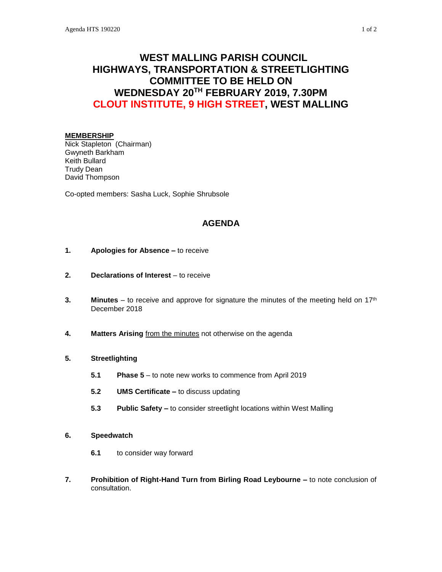# **WEST MALLING PARISH COUNCIL HIGHWAYS, TRANSPORTATION & STREETLIGHTING COMMITTEE TO BE HELD ON WEDNESDAY 20TH FEBRUARY 2019, 7.30PM CLOUT INSTITUTE, 9 HIGH STREET, WEST MALLING**

#### **MEMBERSHIP**

Nick Stapleton (Chairman) Gwyneth Barkham Keith Bullard Trudy Dean David Thompson

Co-opted members: Sasha Luck, Sophie Shrubsole

# **AGENDA**

- **1. Apologies for Absence –** to receive
- **2. Declarations of Interest** to receive
- **3. Minutes** to receive and approve for signature the minutes of the meeting held on 17<sup>th</sup> December 2018
- **4. Matters Arising** from the minutes not otherwise on the agenda

## **5. Streetlighting**

- **5.1 Phase 5** to note new works to commence from April 2019
- **5.2 UMS Certificate –** to discuss updating
- **5.3 Public Safety –** to consider streetlight locations within West Malling
- **6. Speedwatch**
	- **6.1** to consider way forward
- **7. Prohibition of Right-Hand Turn from Birling Road Leybourne –** to note conclusion of consultation.